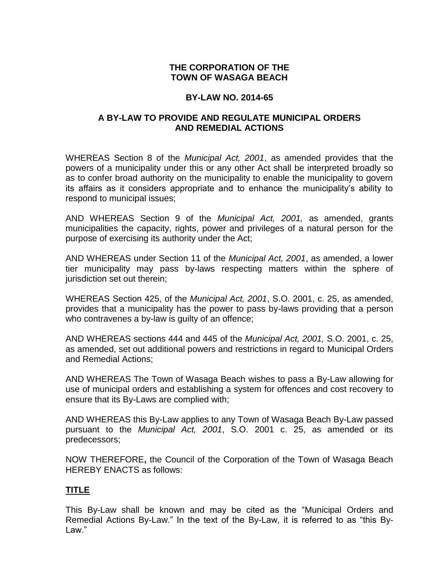## **THE CORPORATION OF THE TOWN OF WASAGA BEACH**

#### **BY-LAW NO. 2014-65**

#### **A BY-LAW TO PROVIDE AND REGULATE MUNICIPAL ORDERS AND REMEDIAL ACTIONS**

WHEREAS Section 8 of the *Municipal Act, 2001*, as amended provides that the powers of a municipality under this or any other Act shall be interpreted broadly so as to confer broad authority on the municipality to enable the municipality to govern its affairs as it considers appropriate and to enhance the municipality's ability to respond to municipal issues;

AND WHEREAS Section 9 of the *Municipal Act, 2001,* as amended, grants municipalities the capacity, rights, power and privileges of a natural person for the purpose of exercising its authority under the Act;

AND WHEREAS under Section 11 of the *Municipal Act, 2001*, as amended, a lower tier municipality may pass by-laws respecting matters within the sphere of jurisdiction set out therein;

WHEREAS Section 425, of the *Municipal Act, 2001*, S.O. 2001, c. 25, as amended, provides that a municipality has the power to pass by-laws providing that a person who contravenes a by-law is guilty of an offence;

AND WHEREAS sections 444 and 445 of the *Municipal Act, 2001,* S.O. 2001, c. 25, as amended, set out additional powers and restrictions in regard to Municipal Orders and Remedial Actions;

AND WHEREAS The Town of Wasaga Beach wishes to pass a By-Law allowing for use of municipal orders and establishing a system for offences and cost recovery to ensure that its By-Laws are complied with;

AND WHEREAS this By-Law applies to any Town of Wasaga Beach By-Law passed pursuant to the *Municipal Act, 2001*, S.O. 2001 c. 25, as amended or its predecessors;

NOW THEREFORE**,** the Council of the Corporation of the Town of Wasaga Beach HEREBY ENACTS as follows:

# **TITLE**

This By-Law shall be known and may be cited as the "Municipal Orders and Remedial Actions By-Law." In the text of the By-Law, it is referred to as "this By-Law."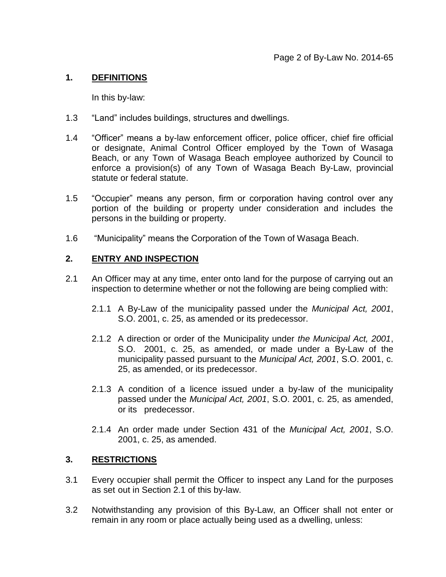## **1. DEFINITIONS**

In this by-law:

- 1.3 "Land" includes buildings, structures and dwellings.
- 1.4 "Officer" means a by-law enforcement officer, police officer, chief fire official or designate, Animal Control Officer employed by the Town of Wasaga Beach, or any Town of Wasaga Beach employee authorized by Council to enforce a provision(s) of any Town of Wasaga Beach By-Law, provincial statute or federal statute.
- 1.5 "Occupier" means any person, firm or corporation having control over any portion of the building or property under consideration and includes the persons in the building or property.
- 1.6 "Municipality" means the Corporation of the Town of Wasaga Beach.

#### **2. ENTRY AND INSPECTION**

- 2.1 An Officer may at any time, enter onto land for the purpose of carrying out an inspection to determine whether or not the following are being complied with:
	- 2.1.1 A By-Law of the municipality passed under the *Municipal Act, 2001*, S.O. 2001, c. 25, as amended or its predecessor.
	- 2.1.2 A direction or order of the Municipality under *the Municipal Act, 2001*, S.O. 2001, c. 25, as amended, or made under a By-Law of the municipality passed pursuant to the *Municipal Act, 2001*, S.O. 2001, c. 25, as amended, or its predecessor.
	- 2.1.3 A condition of a licence issued under a by-law of the municipality passed under the *Municipal Act, 2001*, S.O. 2001, c. 25, as amended, or its predecessor.
	- 2.1.4 An order made under Section 431 of the *Municipal Act, 2001*, S.O. 2001, c. 25, as amended.

#### **3. RESTRICTIONS**

- 3.1 Every occupier shall permit the Officer to inspect any Land for the purposes as set out in Section 2.1 of this by-law.
- 3.2 Notwithstanding any provision of this By-Law, an Officer shall not enter or remain in any room or place actually being used as a dwelling, unless: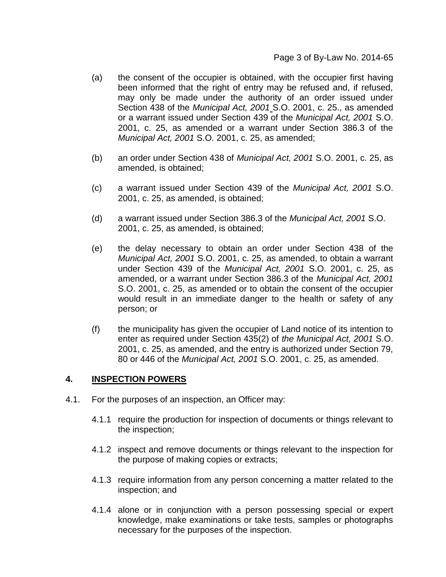- (a) the consent of the occupier is obtained, with the occupier first having been informed that the right of entry may be refused and, if refused, may only be made under the authority of an order issued under Section 438 of the *Municipal Act, 2001* S.O. 2001, c. 25., as amended or a warrant issued under Section 439 of the *Municipal Act, 2001* S.O. 2001, c. 25, as amended or a warrant under Section 386.3 of the *Municipal Act, 2001* S.O. 2001, c. 25, as amended;
- (b) an order under Section 438 of *Municipal Act, 2001* S.O. 2001, c. 25, as amended, is obtained;
- (c) a warrant issued under Section 439 of the *Municipal Act, 2001* S.O. 2001, c. 25, as amended, is obtained;
- (d) a warrant issued under Section 386.3 of the *Municipal Act, 2001* S.O. 2001, c. 25, as amended, is obtained;
- (e) the delay necessary to obtain an order under Section 438 of the *Municipal Act, 2001* S.O. 2001, c. 25, as amended, to obtain a warrant under Section 439 of the *Municipal Act, 2001* S.O. 2001, c. 25, as amended, or a warrant under Section 386.3 of the *Municipal Act, 2001* S.O. 2001, c. 25, as amended or to obtain the consent of the occupier would result in an immediate danger to the health or safety of any person; or
- (f) the municipality has given the occupier of Land notice of its intention to enter as required under Section 435(2) of *the Municipal Act, 2001* S.O. 2001, c. 25, as amended, and the entry is authorized under Section 79, 80 or 446 of the *Municipal Act, 2001* S.O. 2001, c. 25, as amended.

#### **4. INSPECTION POWERS**

- 4.1. For the purposes of an inspection, an Officer may:
	- 4.1.1 require the production for inspection of documents or things relevant to the inspection;
	- 4.1.2 inspect and remove documents or things relevant to the inspection for the purpose of making copies or extracts;
	- 4.1.3 require information from any person concerning a matter related to the inspection; and
	- 4.1.4 alone or in conjunction with a person possessing special or expert knowledge, make examinations or take tests, samples or photographs necessary for the purposes of the inspection.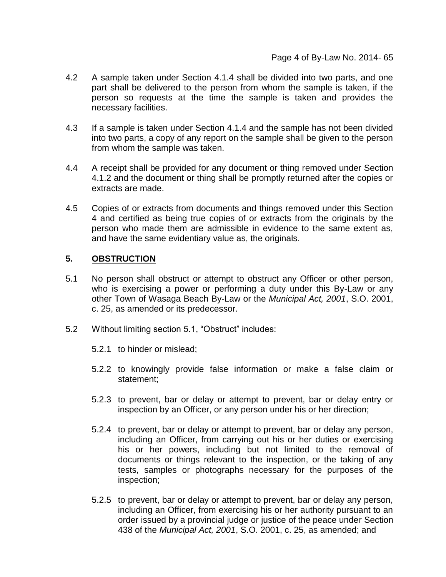- 4.2 A sample taken under Section 4.1.4 shall be divided into two parts, and one part shall be delivered to the person from whom the sample is taken, if the person so requests at the time the sample is taken and provides the necessary facilities.
- 4.3 If a sample is taken under Section 4.1.4 and the sample has not been divided into two parts, a copy of any report on the sample shall be given to the person from whom the sample was taken.
- 4.4 A receipt shall be provided for any document or thing removed under Section 4.1.2 and the document or thing shall be promptly returned after the copies or extracts are made.
- 4.5 Copies of or extracts from documents and things removed under this Section 4 and certified as being true copies of or extracts from the originals by the person who made them are admissible in evidence to the same extent as, and have the same evidentiary value as, the originals.

## **5. OBSTRUCTION**

- 5.1 No person shall obstruct or attempt to obstruct any Officer or other person, who is exercising a power or performing a duty under this By-Law or any other Town of Wasaga Beach By-Law or the *Municipal Act, 2001*, S.O. 2001, c. 25, as amended or its predecessor.
- 5.2 Without limiting section 5.1, "Obstruct" includes:
	- 5.2.1 to hinder or mislead;
	- 5.2.2 to knowingly provide false information or make a false claim or statement;
	- 5.2.3 to prevent, bar or delay or attempt to prevent, bar or delay entry or inspection by an Officer, or any person under his or her direction;
	- 5.2.4 to prevent, bar or delay or attempt to prevent, bar or delay any person, including an Officer, from carrying out his or her duties or exercising his or her powers, including but not limited to the removal of documents or things relevant to the inspection, or the taking of any tests, samples or photographs necessary for the purposes of the inspection;
	- 5.2.5 to prevent, bar or delay or attempt to prevent, bar or delay any person, including an Officer, from exercising his or her authority pursuant to an order issued by a provincial judge or justice of the peace under Section 438 of the *Municipal Act, 2001*, S.O. 2001, c. 25, as amended; and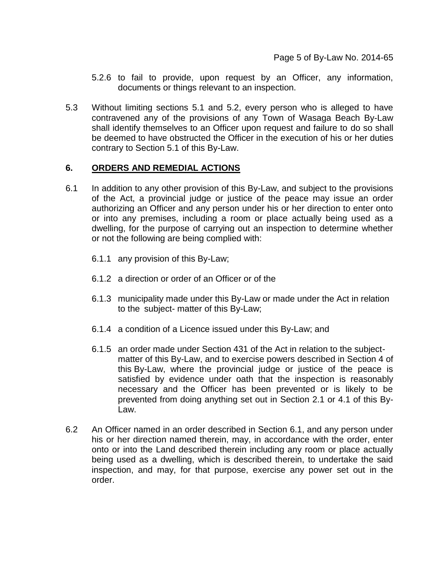- 5.2.6 to fail to provide, upon request by an Officer, any information, documents or things relevant to an inspection.
- 5.3 Without limiting sections 5.1 and 5.2, every person who is alleged to have contravened any of the provisions of any Town of Wasaga Beach By-Law shall identify themselves to an Officer upon request and failure to do so shall be deemed to have obstructed the Officer in the execution of his or her duties contrary to Section 5.1 of this By-Law.

#### **6. ORDERS AND REMEDIAL ACTIONS**

- 6.1 In addition to any other provision of this By-Law, and subject to the provisions of the Act, a provincial judge or justice of the peace may issue an order authorizing an Officer and any person under his or her direction to enter onto or into any premises, including a room or place actually being used as a dwelling, for the purpose of carrying out an inspection to determine whether or not the following are being complied with:
	- 6.1.1 any provision of this By-Law;
	- 6.1.2 a direction or order of an Officer or of the
	- 6.1.3 municipality made under this By-Law or made under the Act in relation to the subject- matter of this By-Law;
	- 6.1.4 a condition of a Licence issued under this By-Law; and
	- 6.1.5 an order made under Section 431 of the Act in relation to the subjectmatter of this By-Law, and to exercise powers described in Section 4 of this By-Law, where the provincial judge or justice of the peace is satisfied by evidence under oath that the inspection is reasonably necessary and the Officer has been prevented or is likely to be prevented from doing anything set out in Section 2.1 or 4.1 of this By-Law.
- 6.2 An Officer named in an order described in Section 6.1, and any person under his or her direction named therein, may, in accordance with the order, enter onto or into the Land described therein including any room or place actually being used as a dwelling, which is described therein, to undertake the said inspection, and may, for that purpose, exercise any power set out in the order.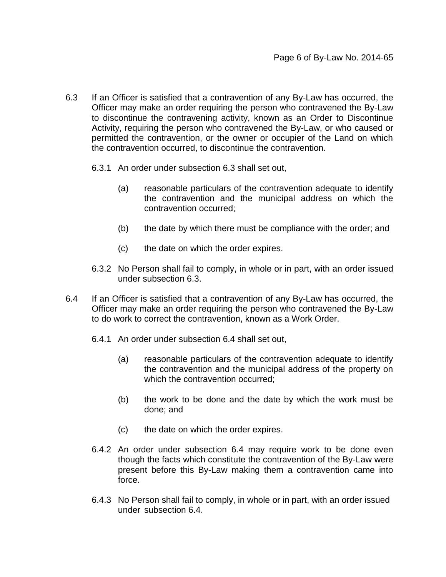- 6.3 If an Officer is satisfied that a contravention of any By-Law has occurred, the Officer may make an order requiring the person who contravened the By-Law to discontinue the contravening activity, known as an Order to Discontinue Activity, requiring the person who contravened the By-Law, or who caused or permitted the contravention, or the owner or occupier of the Land on which the contravention occurred, to discontinue the contravention.
	- 6.3.1 An order under subsection 6.3 shall set out,
		- (a) reasonable particulars of the contravention adequate to identify the contravention and the municipal address on which the contravention occurred;
		- (b) the date by which there must be compliance with the order; and
		- (c) the date on which the order expires.
	- 6.3.2 No Person shall fail to comply, in whole or in part, with an order issued under subsection 6.3.
- 6.4 If an Officer is satisfied that a contravention of any By-Law has occurred, the Officer may make an order requiring the person who contravened the By-Law to do work to correct the contravention, known as a Work Order.
	- 6.4.1 An order under subsection 6.4 shall set out,
		- (a) reasonable particulars of the contravention adequate to identify the contravention and the municipal address of the property on which the contravention occurred;
		- (b) the work to be done and the date by which the work must be done; and
		- (c) the date on which the order expires.
	- 6.4.2 An order under subsection 6.4 may require work to be done even though the facts which constitute the contravention of the By-Law were present before this By-Law making them a contravention came into force.
	- 6.4.3 No Person shall fail to comply, in whole or in part, with an order issued under subsection 6.4.